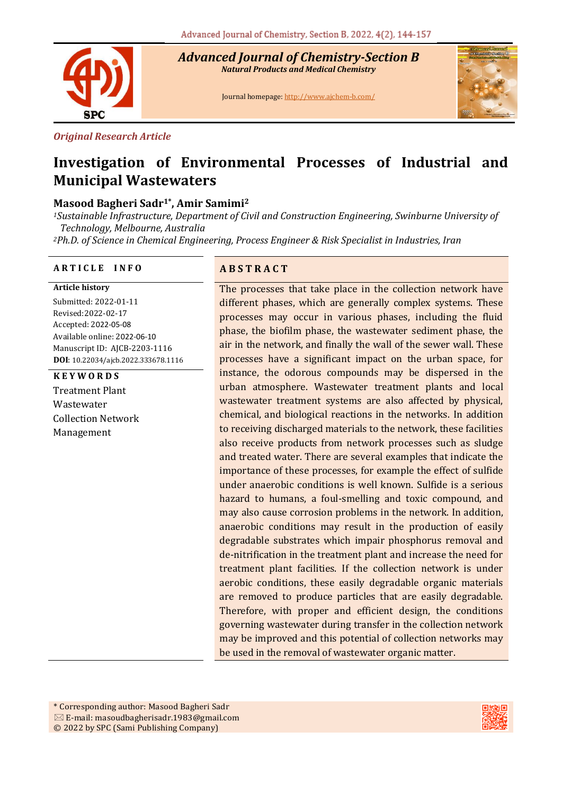

*Advanced Journal of Chemistry-Section B Natural Products and Medical Chemistry* 

Journal homepage[: http://www.ajchem-b.com/](http://www.ajchem-b.com/)



#### *Original Research Article*

# **Investigation of Environmental Processes of Industrial and Municipal Wastewaters**

# **Masood Bagheri Sadr1\* , Amir Samimi<sup>2</sup>**

*<sup>1</sup>Sustainable Infrastructure, Department of Civil and Construction Engineering, Swinburne University of Technology, Melbourne, Australia*

*<sup>2</sup>Ph.D. of Science in Chemical Engineering, Process Engineer & Risk Specialist in Industries, Iran*

#### **A R T I C L E I N F O A B S T R A C T**

#### **Article history**

Submitted: 2022-01-11 Revised:2022-02-17 Accepted: 2022-05-08 Available online: 2022-06-10 Manuscript ID: AJCB-2203-1116 **DOI**: 10.22034/ajcb.2022.333678.1116

#### **K E Y W O R D S**

Treatment Plant Wastewater Collection Network Management

The processes that take place in the collection network have different phases, which are generally complex systems. These processes may occur in various phases, including the fluid phase, the biofilm phase, the wastewater sediment phase, the air in the network, and finally the wall of the sewer wall. These processes have a significant impact on the urban space, for instance, the odorous compounds may be dispersed in the urban atmosphere. Wastewater treatment plants and local wastewater treatment systems are also affected by physical, chemical, and biological reactions in the networks. In addition to receiving discharged materials to the network, these facilities also receive products from network processes such as sludge and treated water. There are several examples that indicate the importance of these processes, for example the effect of sulfide under anaerobic conditions is well known. Sulfide is a serious hazard to humans, a foul-smelling and toxic compound, and may also cause corrosion problems in the network. In addition, anaerobic conditions may result in the production of easily degradable substrates which impair phosphorus removal and de-nitrification in the treatment plant and increase the need for treatment plant facilities. If the collection network is under aerobic conditions, these easily degradable organic materials are removed to produce particles that are easily degradable. Therefore, with proper and efficient design, the conditions governing wastewater during transfer in the collection network may be improved and this potential of collection networks may be used in the removal of wastewater organic matter.

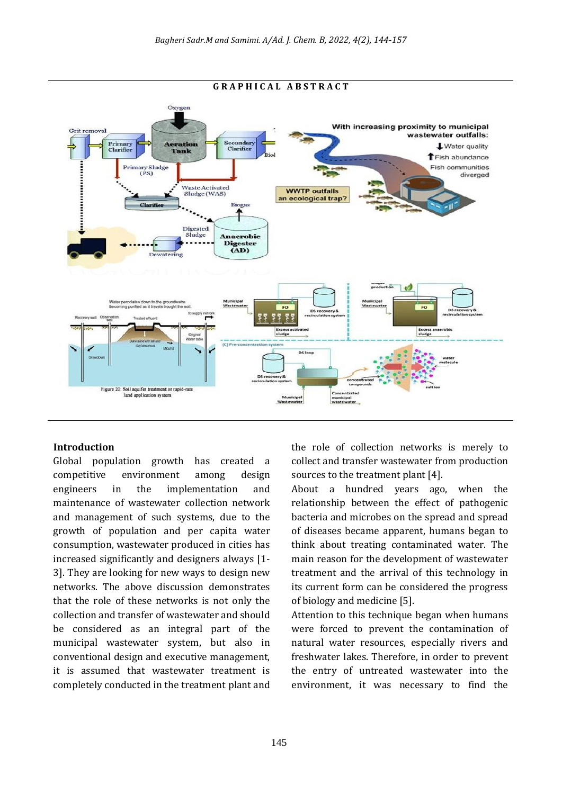

#### **Introduction**

Global population growth has created a competitive environment among design engineers in the implementation and maintenance of wastewater collection network and management of such systems, due to the growth of population and per capita water consumption, wastewater produced in cities has increased significantly and designers always [1- 3]. They are looking for new ways to design new networks. The above discussion demonstrates that the role of these networks is not only the collection and transfer of wastewater and should be considered as an integral part of the municipal wastewater system, but also in conventional design and executive management, it is assumed that wastewater treatment is completely conducted in the treatment plant and the role of collection networks is merely to collect and transfer wastewater from production sources to the treatment plant [4].

About a hundred years ago, when the relationship between the effect of pathogenic bacteria and microbes on the spread and spread of diseases became apparent, humans began to think about treating contaminated water. The main reason for the development of wastewater treatment and the arrival of this technology in its current form can be considered the progress of biology and medicine [5].

Attention to this technique began when humans were forced to prevent the contamination of natural water resources, especially rivers and freshwater lakes. Therefore, in order to prevent the entry of untreated wastewater into the environment, it was necessary to find the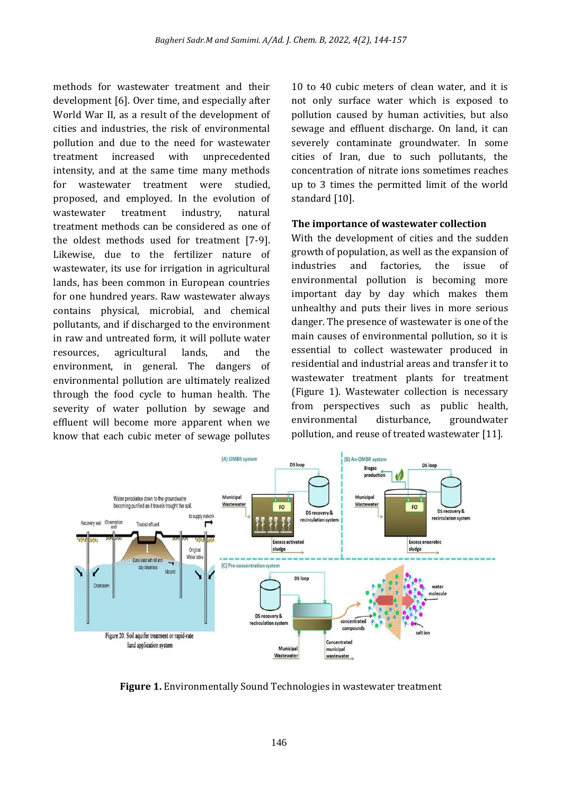methods for wastewater treatment and their development [6]. Over time, and especially after World War II, as a result of the development of cities and industries, the risk of environmental pollution and due to the need for wastewater treatment increased with unprecedented intensity, and at the same time many methods for wastewater treatment were studied, proposed, and employed. In the evolution of wastewater treatment industry, natural treatment methods can be considered as one of the oldest methods used for treatment [7-9]. Likewise, due to the fertilizer nature of wastewater, its use for irrigation in agricultural lands, has been common in European countries for one hundred years. Raw wastewater always contains physical, microbial, and chemical pollutants, and if discharged to the environment in raw and untreated form, it will pollute water resources, agricultural lands, and the environment, in general. The dangers of environmental pollution are ultimately realized through the food cycle to human health. The severity of water pollution by sewage and effluent will become more apparent when we know that each cubic meter of sewage pollutes

10 to 40 cubic meters of clean water, and it is not only surface water which is exposed to pollution caused by human activities, but also sewage and effluent discharge. On land, it can severely contaminate groundwater. In some cities of Iran, due to such pollutants, the concentration of nitrate ions sometimes reaches up to 3 times the permitted limit of the world standard [10].

#### **The importance of wastewater collection**

With the development of cities and the sudden growth of population, as well as the expansion of industries and factories, the issue of environmental pollution is becoming more important day by day which makes them unhealthy and puts their lives in more serious danger. The presence of wastewater is one of the main causes of environmental pollution, so it is essential to collect wastewater produced in residential and industrial areas and transfer it to wastewater treatment plants for treatment (Figure 1). Wastewater collection is necessary from perspectives such as public health, environmental disturbance, groundwater pollution, and reuse of treated wastewater [11].



**Figure 1.** Environmentally Sound Technologies in wastewater treatment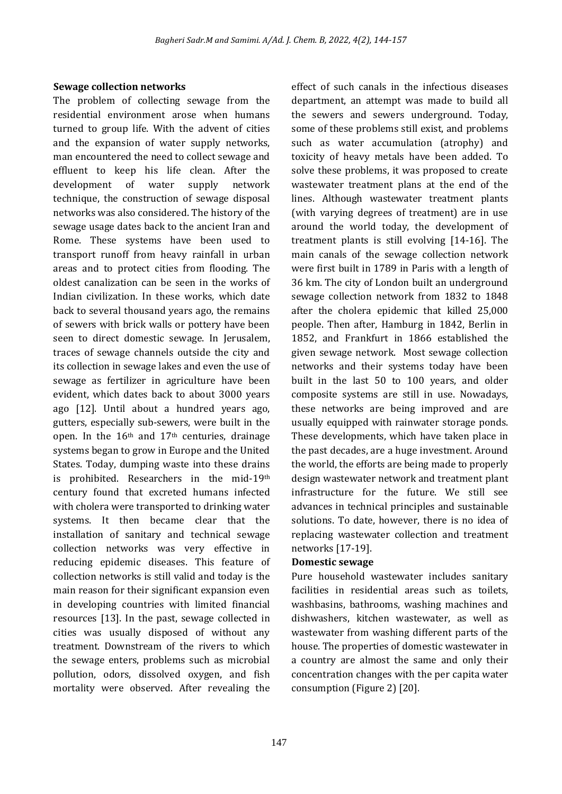#### **Sewage collection networks**

The problem of collecting sewage from the residential environment arose when humans turned to group life. With the advent of cities and the expansion of water supply networks, man encountered the need to collect sewage and effluent to keep his life clean. After the development of water supply network technique, the construction of sewage disposal networks was also considered. The history of the sewage usage dates back to the ancient Iran and Rome. These systems have been used to transport runoff from heavy rainfall in urban areas and to protect cities from flooding. The oldest canalization can be seen in the works of Indian civilization. In these works, which date back to several thousand years ago, the remains of sewers with brick walls or pottery have been seen to direct domestic sewage. In Jerusalem, traces of sewage channels outside the city and its collection in sewage lakes and even the use of sewage as fertilizer in agriculture have been evident, which dates back to about 3000 years ago [12]. Until about a hundred years ago, gutters, especially sub-sewers, were built in the open. In the 16<sup>th</sup> and 17<sup>th</sup> centuries, drainage systems began to grow in Europe and the United States. Today, dumping waste into these drains is prohibited. Researchers in the mid-19th century found that excreted humans infected with cholera were transported to drinking water systems. It then became clear that the installation of sanitary and technical sewage collection networks was very effective in reducing epidemic diseases. This feature of collection networks is still valid and today is the main reason for their significant expansion even in developing countries with limited financial resources [13]. In the past, sewage collected in cities was usually disposed of without any treatment. Downstream of the rivers to which the sewage enters, problems such as microbial pollution, odors, dissolved oxygen, and fish mortality were observed. After revealing the

effect of such canals in the infectious diseases department, an attempt was made to build all the sewers and sewers underground. Today, some of these problems still exist, and problems such as water accumulation (atrophy) and toxicity of heavy metals have been added. To solve these problems, it was proposed to create wastewater treatment plans at the end of the lines. Although wastewater treatment plants (with varying degrees of treatment) are in use around the world today, the development of treatment plants is still evolving [14-16]. The main canals of the sewage collection network were first built in 1789 in Paris with a length of 36 km. The city of London built an underground sewage collection network from 1832 to 1848 after the cholera epidemic that killed 25,000 people. Then after, Hamburg in 1842, Berlin in 1852, and Frankfurt in 1866 established the given sewage network. Most sewage collection networks and their systems today have been built in the last 50 to 100 years, and older composite systems are still in use. Nowadays, these networks are being improved and are usually equipped with rainwater storage ponds. These developments, which have taken place in the past decades, are a huge investment. Around the world, the efforts are being made to properly design wastewater network and treatment plant infrastructure for the future. We still see advances in technical principles and sustainable solutions. To date, however, there is no idea of replacing wastewater collection and treatment networks [17-19].

#### **Domestic sewage**

Pure household wastewater includes sanitary facilities in residential areas such as toilets, washbasins, bathrooms, washing machines and dishwashers, kitchen wastewater, as well as wastewater from washing different parts of the house. The properties of domestic wastewater in a country are almost the same and only their concentration changes with the per capita water consumption (Figure 2) [20].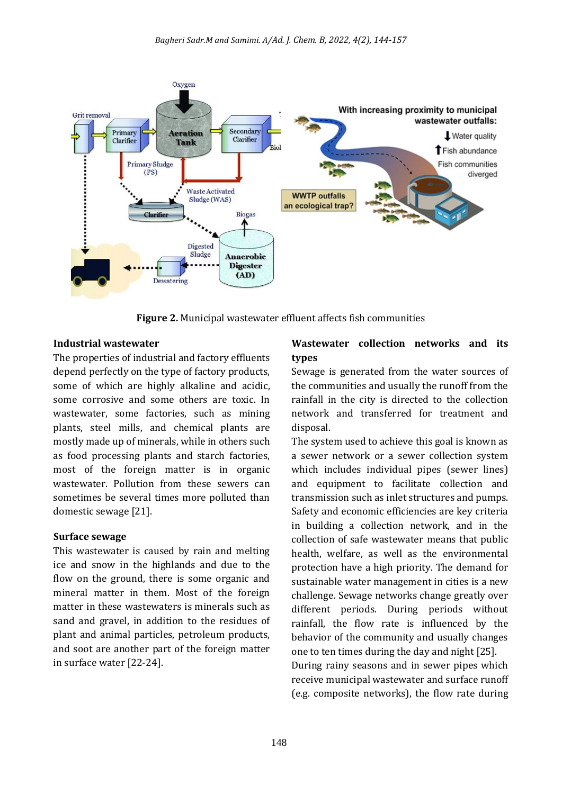

**Figure 2.** Municipal wastewater effluent affects fish communities

#### **Industrial wastewater**

The properties of industrial and factory effluents depend perfectly on the type of factory products, some of which are highly alkaline and acidic, some corrosive and some others are toxic. In wastewater, some factories, such as mining plants, steel mills, and chemical plants are mostly made up of minerals, while in others such as food processing plants and starch factories, most of the foreign matter is in organic wastewater. Pollution from these sewers can sometimes be several times more polluted than domestic sewage [21].

#### **Surface sewage**

This wastewater is caused by rain and melting ice and snow in the highlands and due to the flow on the ground, there is some organic and mineral matter in them. Most of the foreign matter in these wastewaters is minerals such as sand and gravel, in addition to the residues of plant and animal particles, petroleum products, and soot are another part of the foreign matter in surface water [22-24].

#### **Wastewater collection networks and its types**

Sewage is generated from the water sources of the communities and usually the runoff from the rainfall in the city is directed to the collection network and transferred for treatment and disposal.

The system used to achieve this goal is known as a sewer network or a sewer collection system which includes individual pipes (sewer lines) and equipment to facilitate collection and transmission such as inlet structures and pumps. Safety and economic efficiencies are key criteria in building a collection network, and in the collection of safe wastewater means that public health, welfare, as well as the environmental protection have a high priority. The demand for sustainable water management in cities is a new challenge. Sewage networks change greatly over different periods. During periods without rainfall, the flow rate is influenced by the behavior of the community and usually changes one to ten times during the day and night [25]. During rainy seasons and in sewer pipes which receive municipal wastewater and surface runoff (e.g. composite networks), the flow rate during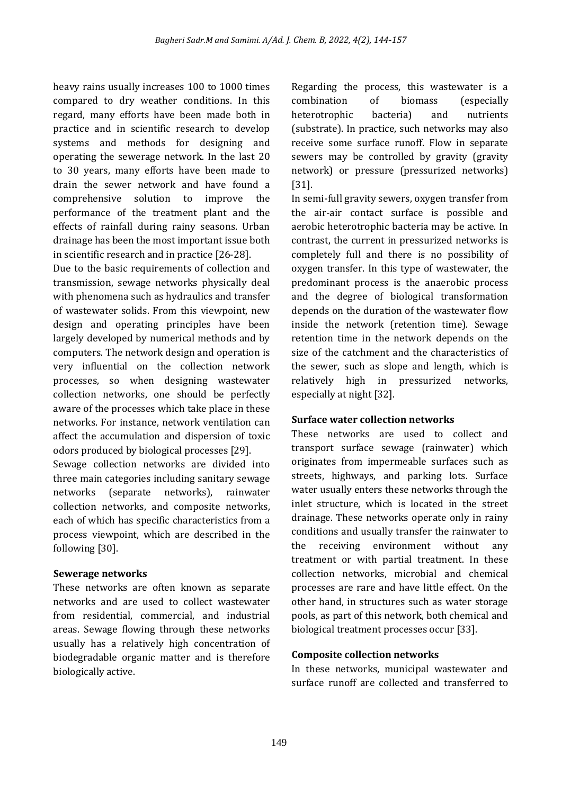heavy rains usually increases 100 to 1000 times compared to dry weather conditions. In this regard, many efforts have been made both in practice and in scientific research to develop systems and methods for designing and operating the sewerage network. In the last 20 to 30 years, many efforts have been made to drain the sewer network and have found a comprehensive solution to improve the performance of the treatment plant and the effects of rainfall during rainy seasons. Urban drainage has been the most important issue both in scientific research and in practice [26-28].

Due to the basic requirements of collection and transmission, sewage networks physically deal with phenomena such as hydraulics and transfer of wastewater solids. From this viewpoint, new design and operating principles have been largely developed by numerical methods and by computers. The network design and operation is very influential on the collection network processes, so when designing wastewater collection networks, one should be perfectly aware of the processes which take place in these networks. For instance, network ventilation can affect the accumulation and dispersion of toxic odors produced by biological processes [29].

Sewage collection networks are divided into three main categories including sanitary sewage networks (separate networks), rainwater collection networks, and composite networks, each of which has specific characteristics from a process viewpoint, which are described in the following [30].

#### **Sewerage networks**

These networks are often known as separate networks and are used to collect wastewater from residential, commercial, and industrial areas. Sewage flowing through these networks usually has a relatively high concentration of biodegradable organic matter and is therefore biologically active.

Regarding the process, this wastewater is a combination of biomass (especially heterotrophic bacteria) and nutrients (substrate). In practice, such networks may also receive some surface runoff. Flow in separate sewers may be controlled by gravity (gravity network) or pressure (pressurized networks) [31].

In semi-full gravity sewers, oxygen transfer from the air-air contact surface is possible and aerobic heterotrophic bacteria may be active. In contrast, the current in pressurized networks is completely full and there is no possibility of oxygen transfer. In this type of wastewater, the predominant process is the anaerobic process and the degree of biological transformation depends on the duration of the wastewater flow inside the network (retention time). Sewage retention time in the network depends on the size of the catchment and the characteristics of the sewer, such as slope and length, which is relatively high in pressurized networks, especially at night [32].

# **Surface water collection networks**

These networks are used to collect and transport surface sewage (rainwater) which originates from impermeable surfaces such as streets, highways, and parking lots. Surface water usually enters these networks through the inlet structure, which is located in the street drainage. These networks operate only in rainy conditions and usually transfer the rainwater to the receiving environment without any treatment or with partial treatment. In these collection networks, microbial and chemical processes are rare and have little effect. On the other hand, in structures such as water storage pools, as part of this network, both chemical and biological treatment processes occur [33].

# **Composite collection networks**

In these networks, municipal wastewater and surface runoff are collected and transferred to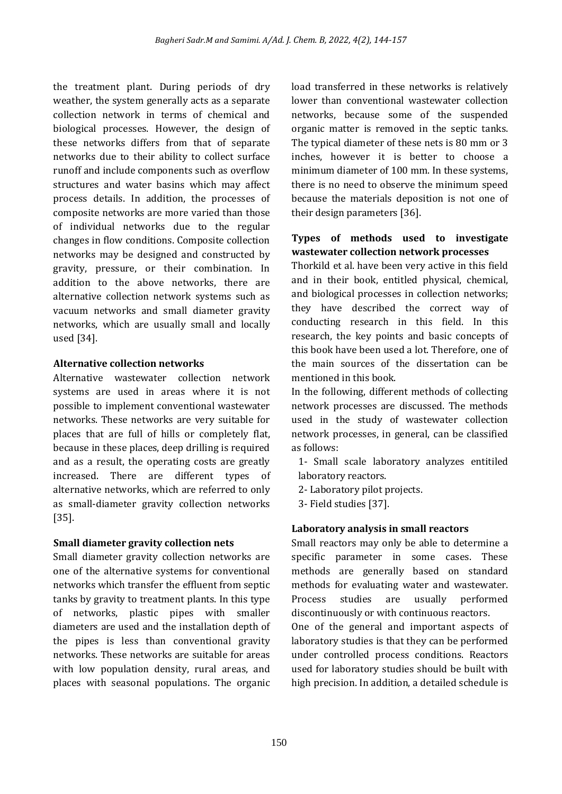the treatment plant. During periods of dry weather, the system generally acts as a separate collection network in terms of chemical and biological processes. However, the design of these networks differs from that of separate networks due to their ability to collect surface runoff and include components such as overflow structures and water basins which may affect process details. In addition, the processes of composite networks are more varied than those of individual networks due to the regular changes in flow conditions. Composite collection networks may be designed and constructed by gravity, pressure, or their combination. In addition to the above networks, there are alternative collection network systems such as vacuum networks and small diameter gravity networks, which are usually small and locally used [34].

#### **Alternative collection networks**

Alternative wastewater collection network systems are used in areas where it is not possible to implement conventional wastewater networks. These networks are very suitable for places that are full of hills or completely flat, because in these places, deep drilling is required and as a result, the operating costs are greatly increased. There are different types of alternative networks, which are referred to only as small-diameter gravity collection networks [35].

# **Small diameter gravity collection nets**

Small diameter gravity collection networks are one of the alternative systems for conventional networks which transfer the effluent from septic tanks by gravity to treatment plants. In this type of networks, plastic pipes with smaller diameters are used and the installation depth of the pipes is less than conventional gravity networks. These networks are suitable for areas with low population density, rural areas, and places with seasonal populations. The organic load transferred in these networks is relatively lower than conventional wastewater collection networks, because some of the suspended organic matter is removed in the septic tanks. The typical diameter of these nets is 80 mm or 3 inches, however it is better to choose a minimum diameter of 100 mm. In these systems, there is no need to observe the minimum speed because the materials deposition is not one of their design parameters [36].

#### **Types of methods used to investigate wastewater collection network processes**

Thorkild et al. have been very active in this field and in their book, entitled physical, chemical, and biological processes in collection networks; they have described the correct way of conducting research in this field. In this research, the key points and basic concepts of this book have been used a lot. Therefore, one of the main sources of the dissertation can be mentioned in this book.

In the following, different methods of collecting network processes are discussed. The methods used in the study of wastewater collection network processes, in general, can be classified as follows:

1- Small scale laboratory analyzes entitiled laboratory reactors.

- 2- Laboratory pilot projects.
- 3- Field studies [37].

# **Laboratory analysis in small reactors**

Small reactors may only be able to determine a specific parameter in some cases. These methods are generally based on standard methods for evaluating water and wastewater. Process studies are usually performed discontinuously or with continuous reactors.

One of the general and important aspects of laboratory studies is that they can be performed under controlled process conditions. Reactors used for laboratory studies should be built with high precision. In addition, a detailed schedule is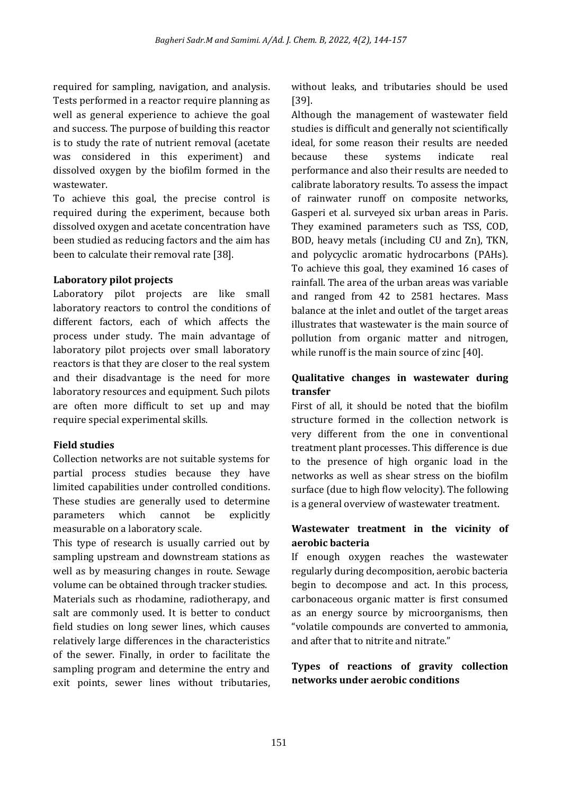required for sampling, navigation, and analysis. Tests performed in a reactor require planning as well as general experience to achieve the goal and success. The purpose of building this reactor is to study the rate of nutrient removal (acetate was considered in this experiment) and dissolved oxygen by the biofilm formed in the wastewater.

To achieve this goal, the precise control is required during the experiment, because both dissolved oxygen and acetate concentration have been studied as reducing factors and the aim has been to calculate their removal rate [38].

#### **Laboratory pilot projects**

Laboratory pilot projects are like small laboratory reactors to control the conditions of different factors, each of which affects the process under study. The main advantage of laboratory pilot projects over small laboratory reactors is that they are closer to the real system and their disadvantage is the need for more laboratory resources and equipment. Such pilots are often more difficult to set up and may require special experimental skills.

# **Field studies**

Collection networks are not suitable systems for partial process studies because they have limited capabilities under controlled conditions. These studies are generally used to determine parameters which cannot be explicitly measurable on a laboratory scale.

This type of research is usually carried out by sampling upstream and downstream stations as well as by measuring changes in route. Sewage volume can be obtained through tracker studies. Materials such as rhodamine, radiotherapy, and salt are commonly used. It is better to conduct field studies on long sewer lines, which causes relatively large differences in the characteristics of the sewer. Finally, in order to facilitate the sampling program and determine the entry and exit points, sewer lines without tributaries, without leaks, and tributaries should be used [39].

Although the management of wastewater field studies is difficult and generally not scientifically ideal, for some reason their results are needed because these systems indicate real performance and also their results are needed to calibrate laboratory results. To assess the impact of rainwater runoff on composite networks, Gasperi et al. surveyed six urban areas in Paris. They examined parameters such as TSS, COD, BOD, heavy metals (including CU and Zn), TKN, and polycyclic aromatic hydrocarbons (PAHs). To achieve this goal, they examined 16 cases of rainfall. The area of the urban areas was variable and ranged from 42 to 2581 hectares. Mass balance at the inlet and outlet of the target areas illustrates that wastewater is the main source of pollution from organic matter and nitrogen, while runoff is the main source of zinc [40].

# **Qualitative changes in wastewater during transfer**

First of all, it should be noted that the biofilm structure formed in the collection network is very different from the one in conventional treatment plant processes. This difference is due to the presence of high organic load in the networks as well as shear stress on the biofilm surface (due to high flow velocity). The following is a general overview of wastewater treatment.

# **Wastewater treatment in the vicinity of aerobic bacteria**

If enough oxygen reaches the wastewater regularly during decomposition, aerobic bacteria begin to decompose and act. In this process, carbonaceous organic matter is first consumed as an energy source by microorganisms, then "volatile compounds are converted to ammonia, and after that to nitrite and nitrate."

# **Types of reactions of gravity collection networks under aerobic conditions**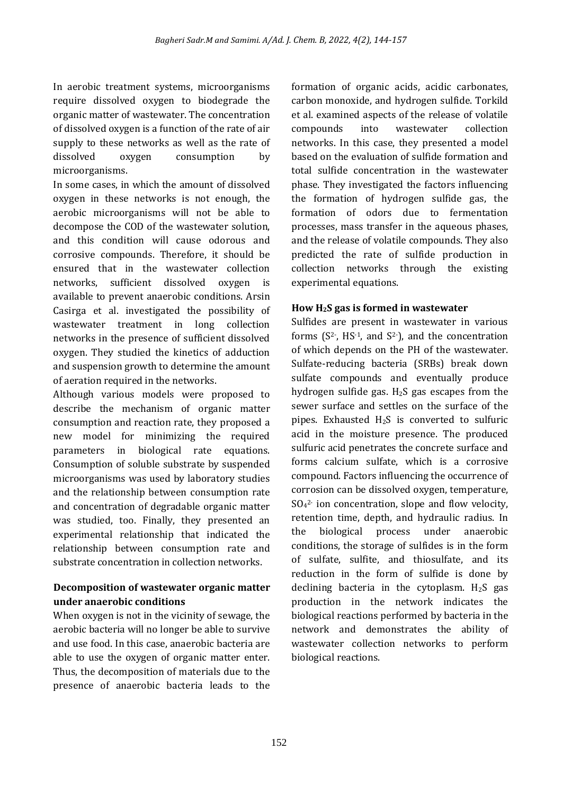In aerobic treatment systems, microorganisms require dissolved oxygen to biodegrade the organic matter of wastewater. The concentration of dissolved oxygen is a function of the rate of air supply to these networks as well as the rate of dissolved oxygen consumption by microorganisms.

In some cases, in which the amount of dissolved oxygen in these networks is not enough, the aerobic microorganisms will not be able to decompose the COD of the wastewater solution, and this condition will cause odorous and corrosive compounds. Therefore, it should be ensured that in the wastewater collection networks, sufficient dissolved oxygen is available to prevent anaerobic conditions. Arsin Casirga et al. investigated the possibility of wastewater treatment in long collection networks in the presence of sufficient dissolved oxygen. They studied the kinetics of adduction and suspension growth to determine the amount of aeration required in the networks.

Although various models were proposed to describe the mechanism of organic matter consumption and reaction rate, they proposed a new model for minimizing the required parameters in biological rate equations. Consumption of soluble substrate by suspended microorganisms was used by laboratory studies and the relationship between consumption rate and concentration of degradable organic matter was studied, too. Finally, they presented an experimental relationship that indicated the relationship between consumption rate and substrate concentration in collection networks.

# **Decomposition of wastewater organic matter under anaerobic conditions**

When oxygen is not in the vicinity of sewage, the aerobic bacteria will no longer be able to survive and use food. In this case, anaerobic bacteria are able to use the oxygen of organic matter enter. Thus, the decomposition of materials due to the presence of anaerobic bacteria leads to the

formation of organic acids, acidic carbonates, carbon monoxide, and hydrogen sulfide. Torkild et al. examined aspects of the release of volatile compounds into wastewater collection networks. In this case, they presented a model based on the evaluation of sulfide formation and total sulfide concentration in the wastewater phase. They investigated the factors influencing the formation of hydrogen sulfide gas, the formation of odors due to fermentation processes, mass transfer in the aqueous phases, and the release of volatile compounds. They also predicted the rate of sulfide production in collection networks through the existing experimental equations.

# **How H2S gas is formed in wastewater**

Sulfides are present in wastewater in various forms  $(S^2$ , HS<sup>-1</sup>, and S<sup>2-</sup>), and the concentration of which depends on the PH of the wastewater. Sulfate-reducing bacteria (SRBs) break down sulfate compounds and eventually produce hydrogen sulfide gas.  $H_2S$  gas escapes from the sewer surface and settles on the surface of the pipes. Exhausted  $H_2S$  is converted to sulfuric acid in the moisture presence. The produced sulfuric acid penetrates the concrete surface and forms calcium sulfate, which is a corrosive compound. Factors influencing the occurrence of corrosion can be dissolved oxygen, temperature, SO<sup>4</sup> 2- ion concentration, slope and flow velocity, retention time, depth, and hydraulic radius. In the biological process under anaerobic conditions, the storage of sulfides is in the form of sulfate, sulfite, and thiosulfate, and its reduction in the form of sulfide is done by declining bacteria in the cytoplasm.  $H_2S$  gas production in the network indicates the biological reactions performed by bacteria in the network and demonstrates the ability of wastewater collection networks to perform biological reactions.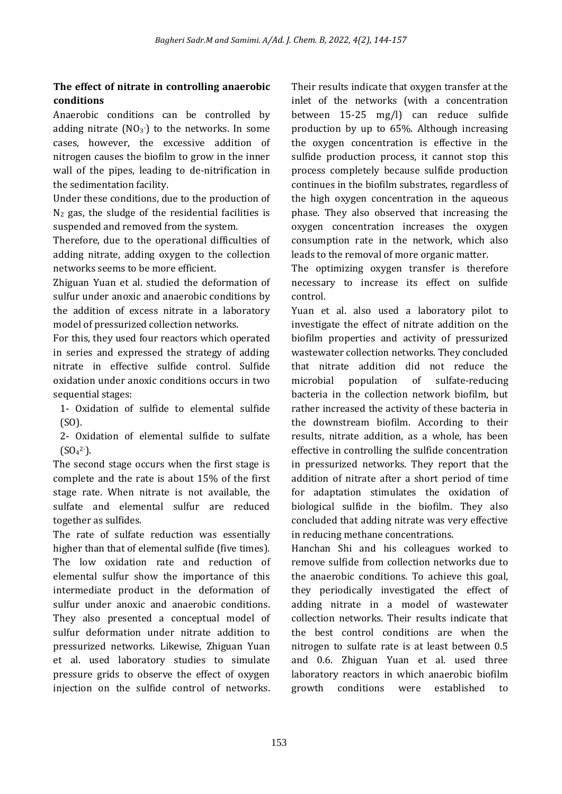# **The effect of nitrate in controlling anaerobic conditions**

Anaerobic conditions can be controlled by adding nitrate  $(NO<sub>3</sub>$ <sup>-</sup>) to the networks. In some cases, however, the excessive addition of nitrogen causes the biofilm to grow in the inner wall of the pipes, leading to de-nitrification in the sedimentation facility.

Under these conditions, due to the production of  $N_2$  gas, the sludge of the residential facilities is suspended and removed from the system.

Therefore, due to the operational difficulties of adding nitrate, adding oxygen to the collection networks seems to be more efficient.

Zhiguan Yuan et al. studied the deformation of sulfur under anoxic and anaerobic conditions by the addition of excess nitrate in a laboratory model of pressurized collection networks.

For this, they used four reactors which operated in series and expressed the strategy of adding nitrate in effective sulfide control. Sulfide oxidation under anoxic conditions occurs in two sequential stages:

1- Oxidation of sulfide to elemental sulfide (SO).

2- Oxidation of elemental sulfide to sulfate  $(SO<sub>4</sub><sup>2</sup>$ .

The second stage occurs when the first stage is complete and the rate is about 15% of the first stage rate. When nitrate is not available, the sulfate and elemental sulfur are reduced together as sulfides.

The rate of sulfate reduction was essentially higher than that of elemental sulfide (five times). The low oxidation rate and reduction of elemental sulfur show the importance of this intermediate product in the deformation of sulfur under anoxic and anaerobic conditions. They also presented a conceptual model of sulfur deformation under nitrate addition to pressurized networks. Likewise, Zhiguan Yuan et al. used laboratory studies to simulate pressure grids to observe the effect of oxygen injection on the sulfide control of networks.

Their results indicate that oxygen transfer at the inlet of the networks (with a concentration between 15-25 mg/l) can reduce sulfide production by up to 65%. Although increasing the oxygen concentration is effective in the sulfide production process, it cannot stop this process completely because sulfide production continues in the biofilm substrates, regardless of the high oxygen concentration in the aqueous phase. They also observed that increasing the oxygen concentration increases the oxygen consumption rate in the network, which also leads to the removal of more organic matter.

The optimizing oxygen transfer is therefore necessary to increase its effect on sulfide control.

Yuan et al. also used a laboratory pilot to investigate the effect of nitrate addition on the biofilm properties and activity of pressurized wastewater collection networks. They concluded that nitrate addition did not reduce the microbial population of sulfate-reducing bacteria in the collection network biofilm, but rather increased the activity of these bacteria in the downstream biofilm. According to their results, nitrate addition, as a whole, has been effective in controlling the sulfide concentration in pressurized networks. They report that the addition of nitrate after a short period of time for adaptation stimulates the oxidation of biological sulfide in the biofilm. They also concluded that adding nitrate was very effective in reducing methane concentrations.

Hanchan Shi and his colleagues worked to remove sulfide from collection networks due to the anaerobic conditions. To achieve this goal, they periodically investigated the effect of adding nitrate in a model of wastewater collection networks. Their results indicate that the best control conditions are when the nitrogen to sulfate rate is at least between 0.5 and 0.6. Zhiguan Yuan et al. used three laboratory reactors in which anaerobic biofilm growth conditions were established to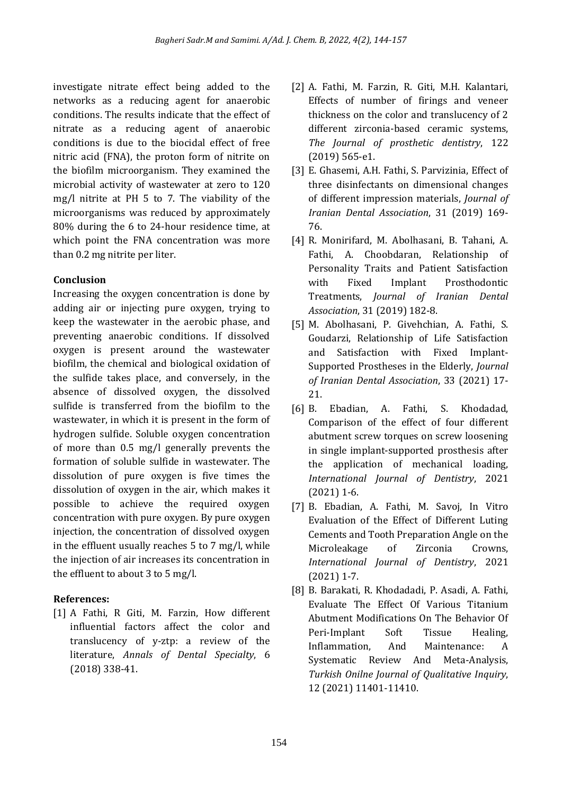investigate nitrate effect being added to the networks as a reducing agent for anaerobic conditions. The results indicate that the effect of nitrate as a reducing agent of anaerobic conditions is due to the biocidal effect of free nitric acid (FNA), the proton form of nitrite on the biofilm microorganism. They examined the microbial activity of wastewater at zero to 120 mg/l nitrite at PH 5 to 7. The viability of the microorganisms was reduced by approximately 80% during the 6 to 24-hour residence time, at which point the FNA concentration was more than 0.2 mg nitrite per liter.

# **Conclusion**

Increasing the oxygen concentration is done by adding air or injecting pure oxygen, trying to keep the wastewater in the aerobic phase, and preventing anaerobic conditions. If dissolved oxygen is present around the wastewater biofilm, the chemical and biological oxidation of the sulfide takes place, and conversely, in the absence of dissolved oxygen, the dissolved sulfide is transferred from the biofilm to the wastewater, in which it is present in the form of hydrogen sulfide. Soluble oxygen concentration of more than 0.5 mg/l generally prevents the formation of soluble sulfide in wastewater. The dissolution of pure oxygen is five times the dissolution of oxygen in the air, which makes it possible to achieve the required oxygen concentration with pure oxygen. By pure oxygen injection, the concentration of dissolved oxygen in the effluent usually reaches 5 to 7 mg/l, while the injection of air increases its concentration in the effluent to about 3 to 5 mg/l.

# **References:**

[1] A Fathi, R Giti, M. Farzin, How different influential factors affect the color and translucency of y-ztp: a review of the literature, *Annals of Dental Specialty*, 6 (2018) 338-41.

- [2] A. Fathi, M. Farzin, R. Giti, M.H. Kalantari, Effects of number of firings and veneer thickness on the color and translucency of 2 different zirconia-based ceramic systems, *The Journal of prosthetic dentistry*, 122 (2019) 565-e1.
- [3] E. Ghasemi, A.H. Fathi, S. Parvizinia, Effect of three disinfectants on dimensional changes of different impression materials, *Journal of Iranian Dental Association*, 31 (2019) 169- 76.
- [4] R. Monirifard, M. Abolhasani, B. Tahani, A. Fathi, A. Choobdaran, Relationship of Personality Traits and Patient Satisfaction with Fixed Implant Prosthodontic Treatments, *Journal of Iranian Dental Association*, 31 (2019) 182-8.
- [5] M. Abolhasani, P. Givehchian, A. Fathi, S. Goudarzi, Relationship of Life Satisfaction and Satisfaction with Fixed Implant-Supported Prostheses in the Elderly, *Journal of Iranian Dental Association*, 33 (2021) 17- 21.
- [6] B. Ebadian, A. Fathi, S. Khodadad, Comparison of the effect of four different abutment screw torques on screw loosening in single implant-supported prosthesis after the application of mechanical loading, *International Journal of Dentistry*, 2021 (2021) 1-6.
- [7] B. Ebadian, A. Fathi, M. Savoj, In Vitro Evaluation of the Effect of Different Luting Cements and Tooth Preparation Angle on the Microleakage of Zirconia Crowns, *International Journal of Dentistry*, 2021 (2021) 1-7.
- [8] B. Barakati, R. Khodadadi, P. Asadi, A. Fathi, Evaluate The Effect Of Various Titanium Abutment Modifications On The Behavior Of Peri-Implant Soft Tissue Healing, Inflammation, And Maintenance: A Systematic Review And Meta-Analysis, *Turkish Onilne Journal of Qualitative Inquiry*, 12 (2021) 11401-11410.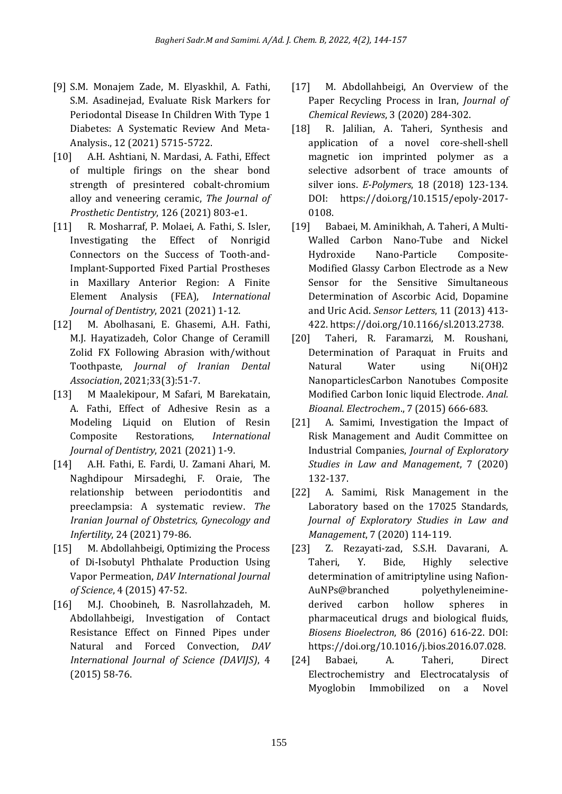- [9] S.M. Monajem Zade, M. Elyaskhil, A. Fathi, S.M. Asadinejad, Evaluate Risk Markers for Periodontal Disease In Children With Type 1 Diabetes: A Systematic Review And Meta-Analysis., 12 (2021) 5715-5722.
- [10] A.H. Ashtiani, N. Mardasi, A. Fathi, Effect of multiple firings on the shear bond strength of presintered cobalt-chromium alloy and veneering ceramic, *The Journal of Prosthetic Dentistry*, 126 (2021) 803-e1.
- [11] R. Mosharraf, P. Molaei, A. Fathi, S. Isler, Investigating the Effect of Nonrigid Connectors on the Success of Tooth-and-Implant-Supported Fixed Partial Prostheses in Maxillary Anterior Region: A Finite Element Analysis (FEA), *International Journal of Dentistry*, 2021 (2021) 1-12.
- [12] M. Abolhasani, E. Ghasemi, A.H. Fathi, M.J. Hayatizadeh, Color Change of Ceramill Zolid FX Following Abrasion with/without Toothpaste, *Journal of Iranian Dental Association*, 2021;33(3):51-7.
- [13] M Maalekipour, M Safari, M Barekatain, A. Fathi, Effect of Adhesive Resin as a Modeling Liquid on Elution of Resin Composite Restorations, *International Journal of Dentistry*, 2021 (2021) 1-9.
- [14] A.H. Fathi, E. Fardi, U. Zamani Ahari, M. Naghdipour Mirsadeghi, F. Oraie, The relationship between periodontitis and preeclampsia: A systematic review. *The Iranian Journal of Obstetrics, Gynecology and Infertility*, 24 (2021) 79-86.
- [15] M. Abdollahbeigi, Optimizing the Process of Di-Isobutyl Phthalate Production Using Vapor Permeation, *DAV International Journal of Science*, 4 (2015) 47-52.
- [16] M.J. Choobineh, B. Nasrollahzadeh, M. Abdollahbeigi, Investigation of Contact Resistance Effect on Finned Pipes under Natural and Forced Convection, *DAV International Journal of Science (DAVIJS)*, 4 (2015) 58-76.
- [17] M. Abdollahbeigi, An Overview of the Paper Recycling Process in Iran, *Journal of Chemical Reviews*, 3 (2020) 284-302.
- [18] R. Jalilian, A. Taheri, Synthesis and application of a novel core-shell-shell magnetic ion imprinted polymer as a selective adsorbent of trace amounts of silver ions. *E-Polymers*, 18 (2018) 123-134. DOI: https://doi.org/10.1515/epoly-2017- 0108.
- [19] Babaei, M. Aminikhah, A. Taheri, A Multi-Walled Carbon Nano-Tube and Nickel Hydroxide Nano-Particle Composite-Modified Glassy Carbon Electrode as a New Sensor for the Sensitive Simultaneous Determination of Ascorbic Acid, Dopamine and Uric Acid. *Sensor Letters*, 11 (2013) 413- 422. https://doi.org/10.1166/sl.2013.2738.
- [20] Taheri, R. Faramarzi, M. Roushani, Determination of Paraquat in Fruits and Natural Water using Ni(OH)2 NanoparticlesCarbon Nanotubes Composite Modified Carbon Ionic liquid Electrode. *Anal. Bioanal. Electrochem*., 7 (2015) 666-683.
- [21] A. Samimi, Investigation the Impact of Risk Management and Audit Committee on Industrial Companies, *Journal of Exploratory Studies in Law and Management*, 7 (2020) 132-137.
- [22] A. Samimi, Risk Management in the Laboratory based on the 17025 Standards, *Journal of Exploratory Studies in Law and Management*, 7 (2020) 114-119.
- [23] Z. Rezayati-zad, S.S.H. Davarani, A. Taheri, Y. Bide, Highly selective determination of amitriptyline using Nafion-AuNPs@branched polyethyleneiminederived carbon hollow spheres in pharmaceutical drugs and biological fluids, *Biosens Bioelectron*, 86 (2016) 616-22. DOI: https://doi.org/10.1016/j.bios.2016.07.028.
- [24] Babaei, A. Taheri, Direct Electrochemistry and Electrocatalysis of Myoglobin Immobilized on a Novel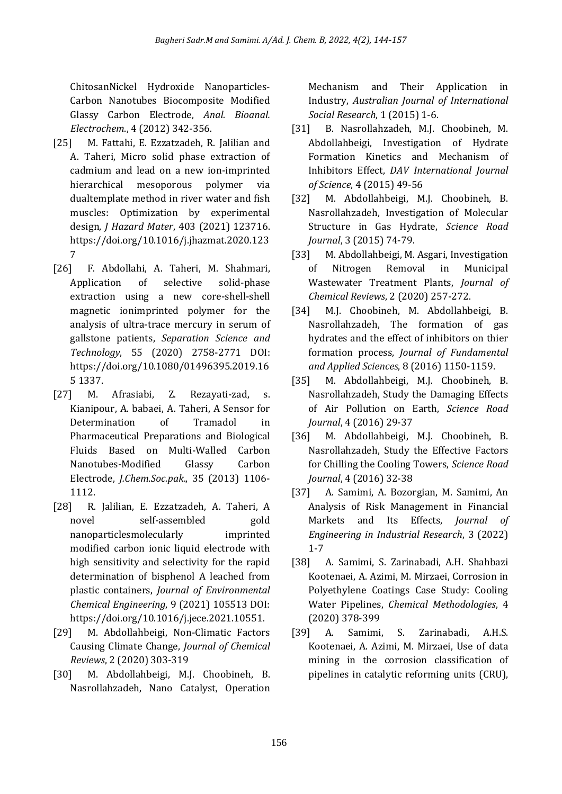ChitosanNickel Hydroxide Nanoparticles-Carbon Nanotubes Biocomposite Modified Glassy Carbon Electrode, *Anal. Bioanal. Electrochem*., 4 (2012) 342-356.

- [25] M. Fattahi, E. Ezzatzadeh, R. Jalilian and A. Taheri, Micro solid phase extraction of cadmium and lead on a new ion-imprinted hierarchical mesoporous polymer via dualtemplate method in river water and fish muscles: Optimization by experimental design, *J Hazard Mater*, 403 (2021) 123716. https://doi.org/10.1016/j.jhazmat.2020.123 7
- [26] F. Abdollahi, A. Taheri, M. Shahmari, Application of selective solid-phase extraction using a new core-shell-shell magnetic ionimprinted polymer for the analysis of ultra-trace mercury in serum of gallstone patients, *Separation Science and Technology*, 55 (2020) 2758-2771 DOI: https://doi.org/10.1080/01496395.2019.16 5 1337.
- [27] M. Afrasiabi, Z. Rezayati-zad, s. Kianipour, A. babaei, A. Taheri, A Sensor for Determination of Tramadol in Pharmaceutical Preparations and Biological Fluids Based on Multi-Walled Carbon Nanotubes-Modified Glassy Carbon Electrode, *J.Chem.Soc.pak*., 35 (2013) 1106- 1112.
- [28] R. Jalilian, E. Ezzatzadeh, A. Taheri, A novel self-assembled gold nanoparticlesmolecularly imprinted modified carbon ionic liquid electrode with high sensitivity and selectivity for the rapid determination of bisphenol A leached from plastic containers, *Journal of Environmental Chemical Engineering*, 9 (2021) 105513 DOI: https://doi.org/10.1016/j.jece.2021.10551.
- [29] M. Abdollahbeigi, Non-Climatic Factors Causing Climate Change, *Journal of Chemical Reviews*, 2 (2020) 303-319
- [30] M. Abdollahbeigi, M.J. Choobineh, B. Nasrollahzadeh, Nano Catalyst, Operation

Mechanism and Their Application in Industry, *Australian Journal of International Social Research*, 1 (2015) 1-6.

- [31] B. Nasrollahzadeh, M.J. Choobineh, M. Abdollahbeigi, Investigation of Hydrate Formation Kinetics and Mechanism of Inhibitors Effect, *DAV International Journal of Science*, 4 (2015) 49-56
- [32] M. Abdollahbeigi, M.J. Choobineh, B. Nasrollahzadeh, Investigation of Molecular Structure in Gas Hydrate, *Science Road Journal*, 3 (2015) 74-79.
- [33] M. Abdollahbeigi, M. Asgari, Investigation of Nitrogen Removal in Municipal Wastewater Treatment Plants, *Journal of Chemical Reviews*, 2 (2020) 257-272.
- [34] M.J. Choobineh, M. Abdollahbeigi, B. Nasrollahzadeh, The formation of gas hydrates and the effect of inhibitors on thier formation process, *Journal of Fundamental and Applied Sciences*, 8 (2016) 1150-1159.
- [35] M. Abdollahbeigi, M.J. Choobineh, B. Nasrollahzadeh, Study the Damaging Effects of Air Pollution on Earth, *Science Road Journal*, 4 (2016) 29-37
- [36] M. Abdollahbeigi, M.J. Choobineh, B. Nasrollahzadeh, Study the Effective Factors for Chilling the Cooling Towers, *Science Road Journal*, 4 (2016) 32-38
- [37] A. Samimi, A. Bozorgian, M. Samimi, An Analysis of Risk Management in Financial Markets and Its Effects, *Journal of Engineering in Industrial Research*, 3 (2022) 1-7
- [38] A. Samimi, S. Zarinabadi, A.H. Shahbazi Kootenaei, A. Azimi, M. Mirzaei, Corrosion in Polyethylene Coatings Case Study: Cooling Water Pipelines, *Chemical Methodologies*, 4 (2020) 378-399
- [39] A. Samimi, S. Zarinabadi, A.H.S. Kootenaei, A. Azimi, M. Mirzaei, Use of data mining in the corrosion classification of pipelines in catalytic reforming units (CRU),